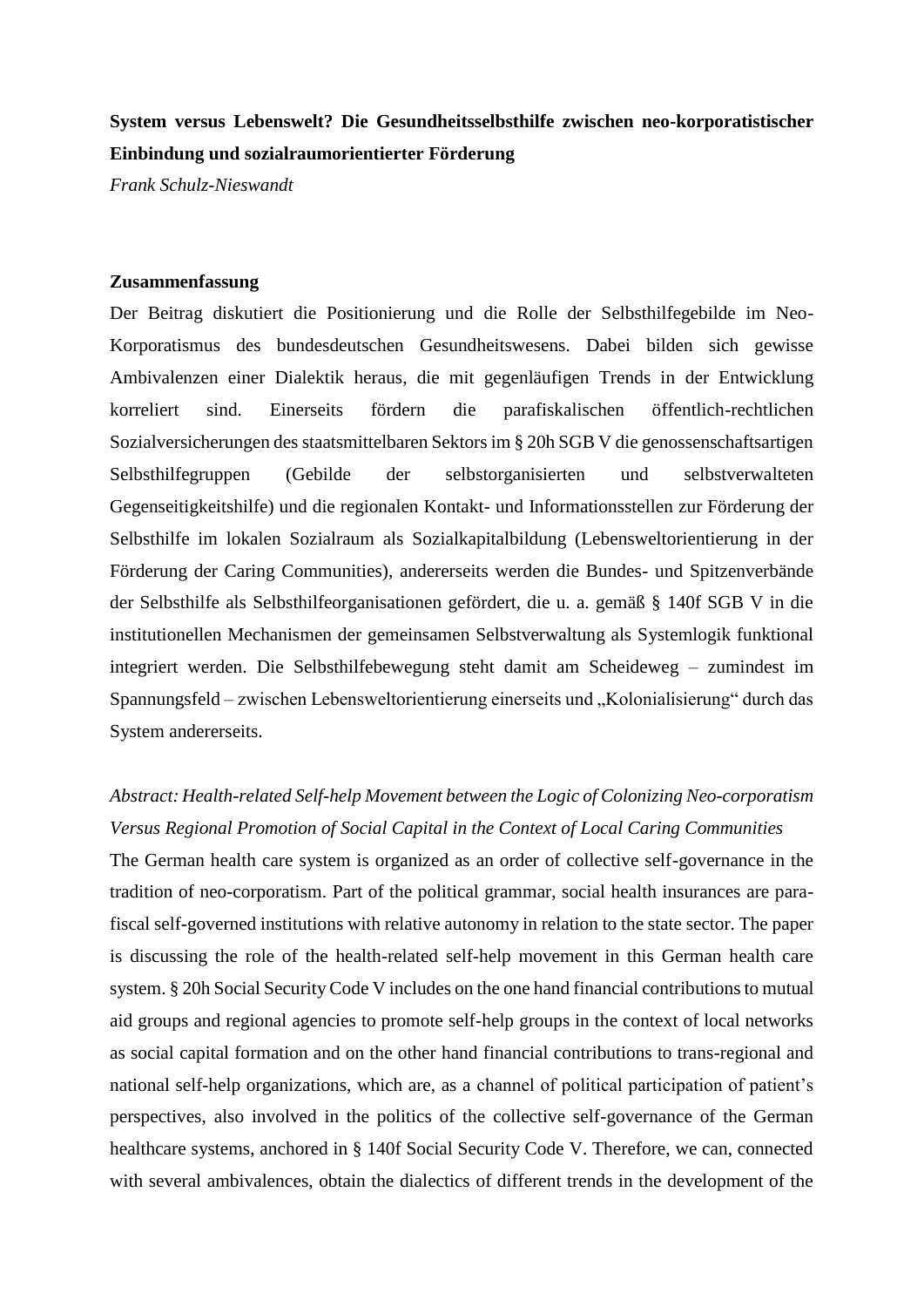## **System versus Lebenswelt? Die Gesundheitsselbsthilfe zwischen neo-korporatistischer Einbindung und sozialraumorientierter Förderung**

*Frank Schulz-Nieswandt*

## **Zusammenfassung**

Der Beitrag diskutiert die Positionierung und die Rolle der Selbsthilfegebilde im Neo-Korporatismus des bundesdeutschen Gesundheitswesens. Dabei bilden sich gewisse Ambivalenzen einer Dialektik heraus, die mit gegenläufigen Trends in der Entwicklung korreliert sind. Einerseits fördern die parafiskalischen öffentlich-rechtlichen Sozialversicherungen des staatsmittelbaren Sektors im § 20h SGB V die genossenschaftsartigen Selbsthilfegruppen (Gebilde der selbstorganisierten und selbstverwalteten Gegenseitigkeitshilfe) und die regionalen Kontakt- und Informationsstellen zur Förderung der Selbsthilfe im lokalen Sozialraum als Sozialkapitalbildung (Lebensweltorientierung in der Förderung der Caring Communities), andererseits werden die Bundes- und Spitzenverbände der Selbsthilfe als Selbsthilfeorganisationen gefördert, die u. a. gemäß § 140f SGB V in die institutionellen Mechanismen der gemeinsamen Selbstverwaltung als Systemlogik funktional integriert werden. Die Selbsthilfebewegung steht damit am Scheideweg – zumindest im Spannungsfeld – zwischen Lebensweltorientierung einerseits und "Kolonialisierung" durch das System andererseits.

## *Abstract: Health-related Self-help Movement between the Logic of Colonizing Neo-corporatism Versus Regional Promotion of Social Capital in the Context of Local Caring Communities*

The German health care system is organized as an order of collective self-governance in the tradition of neo-corporatism. Part of the political grammar, social health insurances are parafiscal self-governed institutions with relative autonomy in relation to the state sector. The paper is discussing the role of the health-related self-help movement in this German health care system. § 20h Social Security Code V includes on the one hand financial contributions to mutual aid groups and regional agencies to promote self-help groups in the context of local networks as social capital formation and on the other hand financial contributions to trans-regional and national self-help organizations, which are, as a channel of political participation of patient's perspectives, also involved in the politics of the collective self-governance of the German healthcare systems, anchored in § 140f Social Security Code V. Therefore, we can, connected with several ambivalences, obtain the dialectics of different trends in the development of the